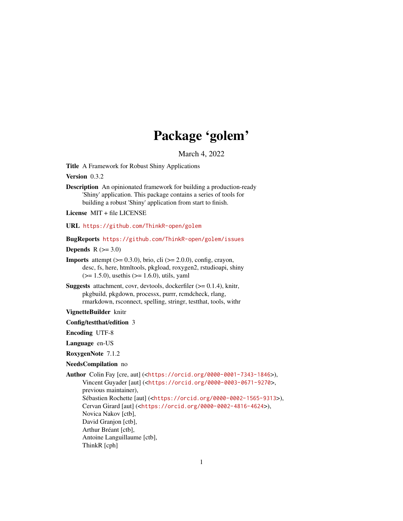# Package 'golem'

March 4, 2022

<span id="page-0-0"></span>Title A Framework for Robust Shiny Applications

Version 0.3.2

Description An opinionated framework for building a production-ready 'Shiny' application. This package contains a series of tools for building a robust 'Shiny' application from start to finish.

License MIT + file LICENSE

URL <https://github.com/ThinkR-open/golem>

BugReports <https://github.com/ThinkR-open/golem/issues>

Depends  $R$  ( $>= 3.0$ )

**Imports** attempt  $(>= 0.3.0)$ , brio, cli  $(>= 2.0.0)$ , config, crayon, desc, fs, here, htmltools, pkgload, roxygen2, rstudioapi, shiny  $(>= 1.5.0)$ , usethis  $(>= 1.6.0)$ , utils, yaml

**Suggests** attachment, covr, devtools, dockerfiler  $(>= 0.1.4)$ , knitr, pkgbuild, pkgdown, processx, purrr, rcmdcheck, rlang, rmarkdown, rsconnect, spelling, stringr, testthat, tools, withr

VignetteBuilder knitr

Config/testthat/edition 3

Encoding UTF-8

Language en-US

RoxygenNote 7.1.2

NeedsCompilation no

```
Author Colin Fay [cre, aut] (<https://orcid.org/0000-0001-7343-1846>),
     Vincent Guyader [aut] (<https://orcid.org/0000-0003-0671-9270>,
     previous maintainer),
     Sébastien Rochette [aut] (<https://orcid.org/0000-0002-1565-9313>),
     Cervan Girard [aut] (<https://orcid.org/0000-0002-4816-4624>),
     Novica Nakov [ctb],
     David Granjon [ctb],
     Arthur Bréant [ctb],
     Antoine Languillaume [ctb],
     ThinkR [cph]
```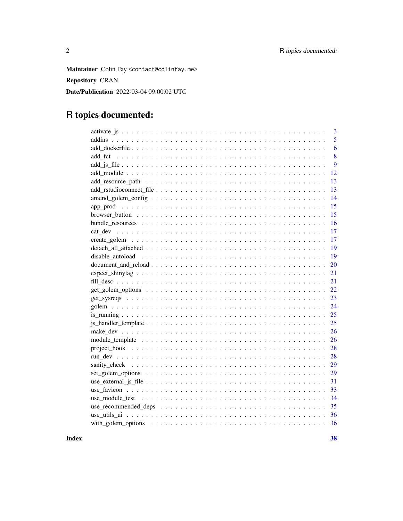Maintainer Colin Fay <contact@colinfay.me> **Repository CRAN** Date/Publication 2022-03-04 09:00:02 UTC

## R topics documented:

|         | 3  |
|---------|----|
|         | 5  |
|         | 6  |
| add fct | 8  |
|         | 9  |
|         | 12 |
|         | 13 |
|         | 13 |
|         | 14 |
|         | 15 |
|         | 15 |
|         | 16 |
|         | 17 |
|         | 17 |
|         | 19 |
|         | 19 |
|         | 20 |
|         | 21 |
| 21      |    |
|         | 22 |
|         | 23 |
|         | 24 |
|         | 25 |
|         | 25 |
|         | 26 |
|         | 26 |
|         | 28 |
|         | 28 |
|         | 29 |
|         | 29 |
|         | 31 |
|         | 33 |
|         | 34 |
|         | 35 |
|         | 36 |
| 36      |    |
|         |    |

**Index**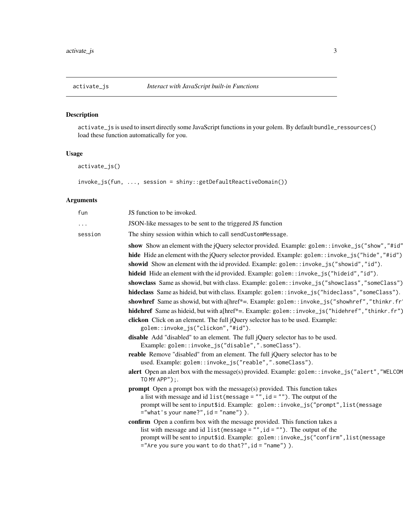<span id="page-2-2"></span><span id="page-2-1"></span><span id="page-2-0"></span>activate\_js is used to insert directly some JavaScript functions in your golem. By default bundle\_ressources() load these function automatically for you.

## Usage

activate\_js()

invoke\_js(fun, ..., session = shiny::getDefaultReactiveDomain())

## Arguments

| fun     | JS function to be invoked.                                                                                                                                                                                                                                                                                                                                                                                                                                                                                                                                                                   |
|---------|----------------------------------------------------------------------------------------------------------------------------------------------------------------------------------------------------------------------------------------------------------------------------------------------------------------------------------------------------------------------------------------------------------------------------------------------------------------------------------------------------------------------------------------------------------------------------------------------|
| .       | JSON-like messages to be sent to the triggered JS function                                                                                                                                                                                                                                                                                                                                                                                                                                                                                                                                   |
| session | The shiny session within which to call sendCustomMessage.                                                                                                                                                                                                                                                                                                                                                                                                                                                                                                                                    |
|         | show Show an element with the jQuery selector provided. Example: golem::invoke_js("show", "#id"<br>hide Hide an element with the jQuery selector provided. Example: golem::invoke_js("hide", "#id")<br>showid Show an element with the id provided. Example: golem: : invoke_js("showid", "id").<br>hideid Hide an element with the id provided. Example: golem::invoke_js("hideid","id").<br>showclass Same as showid, but with class. Example: golem::invoke_js("showclass","someClass")<br>hideclass Same as hideid, but with class. Example: golem::invoke_js("hideclass", "someClass"). |
|         | showhref Same as showid, but with a[href*=. Example: golem::invoke_js("showhref","thinkr.fr'                                                                                                                                                                                                                                                                                                                                                                                                                                                                                                 |
|         | hidehref Same as hideid, but with a [href*=. Example: golem::invoke_js("hidehref","thinkr.fr")<br>clickon Click on an element. The full jQuery selector has to be used. Example:<br>golem::invoke_js("clickon","#id").                                                                                                                                                                                                                                                                                                                                                                       |
|         | disable Add "disabled" to an element. The full jQuery selector has to be used.<br>Example: golem::invoke_js("disable",".someClass").                                                                                                                                                                                                                                                                                                                                                                                                                                                         |
|         | reable Remove "disabled" from an element. The full jQuery selector has to be<br>used. Example: golem::invoke_js("reable",".someClass").                                                                                                                                                                                                                                                                                                                                                                                                                                                      |
|         | alert Open an alert box with the message(s) provided. Example: golem::invoke_js("alert", "WELCOM<br>TO MY APP");.                                                                                                                                                                                                                                                                                                                                                                                                                                                                            |
|         | <b>prompt</b> Open a prompt box with the message(s) provided. This function takes<br>a list with message and id $list$ (message = "", $id = "$ "). The output of the<br>prompt will be sent to input\$id. Example: golem::invoke_js("prompt",list(message<br>$=$ "what's your name?", $id =$ "name") ).                                                                                                                                                                                                                                                                                      |
|         | confirm Open a confirm box with the message provided. This function takes a<br>list with message and id $list$ (message = "", $id = "$ "). The output of the<br>prompt will be sent to input\$id. Example: golem::invoke_js("confirm",list(message<br>="Are you sure you want to do that?", id = "name") ).                                                                                                                                                                                                                                                                                  |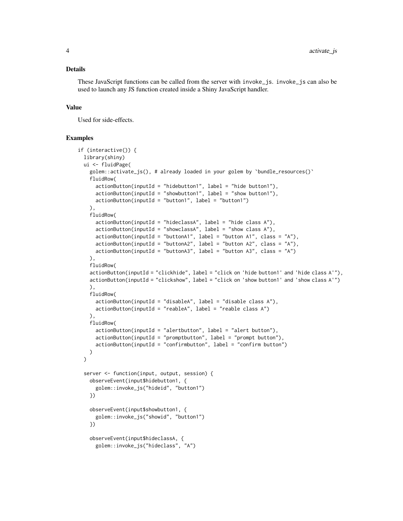#### Details

These JavaScript functions can be called from the server with invoke\_js. invoke\_js can also be used to launch any JS function created inside a Shiny JavaScript handler.

#### Value

Used for side-effects.

#### Examples

```
if (interactive()) {
 library(shiny)
 ui <- fluidPage(
   golem::activate_js(), # already loaded in your golem by `bundle_resources()`
    fluidRow(
      actionButton(inputId = "hiddenOutput, label = "hide button1", label = "hidden1",actionButton(inputId = "showbutton1", label = "show button1"),
      actionButton(inputId = "button1", label = "button1")),
    fluidRow(
      actionButton(inputId = "hideclassA", label = "hide class A"),
      actionButton(inputId = "showclassA", label = "show class A"),
      actionButton(inputId = "buttonA1", label = "button A1", class = "A"),
      actionButton(inputId = "buttonA2", label = "button A2", cluster, class = "A");actionButton(inputId = "buttonA3", label = "button A3", class = "A")),
    fluidRow(
    actionButton(inputId = "clickhide", label = "click on 'hide button1' and 'hide class A'"),
   actionButton(inputId = "clickshow", label = "click on 'show button1' and 'show class A'")
    ),
   fluidRow(
      actionButton(inputId = "disableA", label = "disable class A"),
      actionButton(inputId = "reableA", label = "reable class A")
   ),
    fluidRow(
      actionButton(inputId = "alertbutton", label = "alert button"),
      actionButton(inputId = "promptbutton", label = "prompt button"),
      actionButton(inputId = "confirmbutton", label = "confirm button")
   )
 )
 server <- function(input, output, session) {
    observeEvent(input$hidebutton1, {
      golem::invoke_js("hideid", "button1")
    })
    observeEvent(input$showbutton1, {
      golem::invoke_js("showid", "button1")
    })
    observeEvent(input$hideclassA, {
      golem::invoke_js("hideclass", "A")
```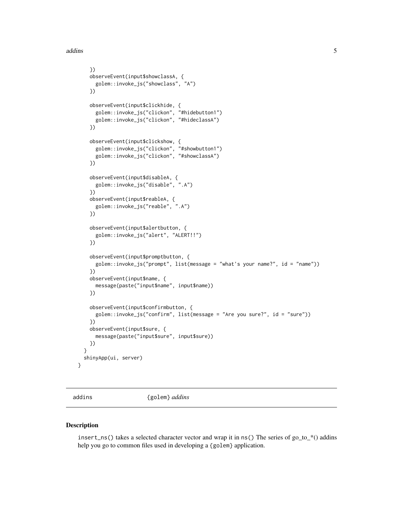<span id="page-4-0"></span>addins 5

```
})
  observeEvent(input$showclassA, {
    golem::invoke_js("showclass", "A")
  })
  observeEvent(input$clickhide, {
    golem::invoke_js("clickon", "#hidebutton1")
    golem::invoke_js("clickon", "#hideclassA")
  })
  observeEvent(input$clickshow, {
    golem::invoke_js("clickon", "#showbutton1")
    golem::invoke_js("clickon", "#showclassA")
  })
  observeEvent(input$disableA, {
    golem::invoke_js("disable", ".A")
  })
  observeEvent(input$reableA, {
    golem::invoke_js("reable", ".A")
  })
  observeEvent(input$alertbutton, {
    golem::invoke_js("alert", "ALERT!!")
  })
  observeEvent(input$promptbutton, {
    golem::invoke_js("prompt", list(message = "what's your name?", id = "name"))
  })
  observeEvent(input$name, {
   message(paste("input$name", input$name))
  })
  observeEvent(input$confirmbutton, {
    golem::invoke_js("confirm", list(message = "Are you sure?", id = "sure"))
  })
  observeEvent(input$sure, {
    message(paste("input$sure", input$sure))
  })
}
shinyApp(ui, server)
```
}

addins {golem} *addins*

#### Description

insert\_ns() takes a selected character vector and wrap it in ns() The series of go\_to\_\*() addins help you go to common files used in developing a {golem} application.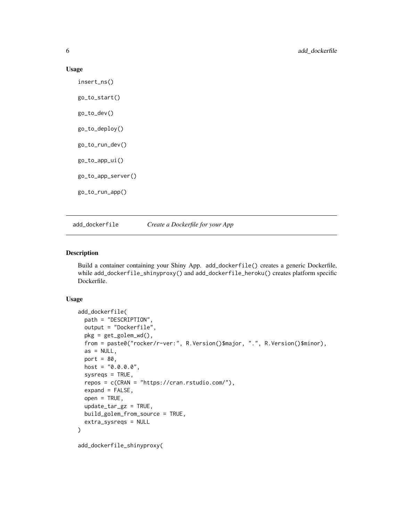#### Usage

insert\_ns() go\_to\_start() go\_to\_dev() go\_to\_deploy() go\_to\_run\_dev() go\_to\_app\_ui() go\_to\_app\_server() go\_to\_run\_app()

add\_dockerfile *Create a Dockerfile for your App*

## Description

Build a container containing your Shiny App. add\_dockerfile() creates a generic Dockerfile, while add\_dockerfile\_shinyproxy() and add\_dockerfile\_heroku() creates platform specific Dockerfile.

```
add_dockerfile(
 path = "DESCRIPTION",
  output = "Dockerfile",
 pkg = get_golem_wd(),
  from = paste0("rocker/r-ver:", R.Version()$major, ".", R.Version()$minor),
  as = NULL,port = 80,
 host = "0.0.0.0",
  system = TRUE,repos = c(CRAN = "https://cran.rstudio.com/"),
  expand = FALSE,open = TRUE,update\_tar\_gz = TRUE,build_golem_from_source = TRUE,
 extra_sysreqs = NULL
)
add_dockerfile_shinyproxy(
```
<span id="page-5-0"></span>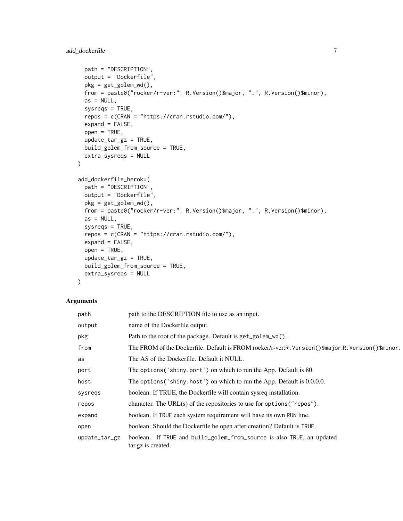```
path = "DESCRIPTION",
  output = "Dockerfile",
  pkg = get_golem_wd(),
  from = paste0("rocker/r-ver:", R.Version()$major, ".", R.Version()$minor),
  as = NULL,sysreqs = TRUE,
  repos = c(CRAN = "https://cran.rstudio.com/"),
  expand = FALSE,open = TRUE,update\_tar\_gz = TRUE,build_golem_from_source = TRUE,
  extra_sysreqs = NULL
)
add_dockerfile_heroku(
  path = "DESCRIPTION",
  output = "Dockerfile",
 pkg = get_golem_wd(),
  from = paste0("rocker/r-ver:", R.Version()$major, ".", R.Version()$minor),
  as = NULL,sysreqs = TRUE,
  repos = c(CRAN = "https://cran.rstudio.com/"),
  expand = FALSE,open = TRUE,update\_tar\_gz = TRUE,build_golem_from_source = TRUE,
  extra_sysreqs = NULL
\mathcal{E}
```
#### Arguments

| path          | path to the DESCRIPTION file to use as an input.                                                  |
|---------------|---------------------------------------------------------------------------------------------------|
| output        | name of the Dockerfile output.                                                                    |
| pkg           | Path to the root of the package. Default is get_golem_wd().                                       |
| from          | The FROM of the Dockerfile. Default is FROM rocker/r-ver:R. Version()\$major.R. Version()\$minor. |
| as            | The AS of the Dockerfile. Default it NULL.                                                        |
| port          | The options ('shiny.port') on which to run the App. Default is 80.                                |
| host          | The options ('shiny.host') on which to run the App. Default is 0.0.0.0.                           |
| sysregs       | boolean. If TRUE, the Dockerfile will contain sysreq installation.                                |
| repos         | character. The URL $(s)$ of the repositories to use for options ("repos").                        |
| expand        | boolean. If TRUE each system requirement will have its own RUN line.                              |
| open          | boolean. Should the Dockerfile be open after creation? Default is TRUE.                           |
| update_tar_gz | boolean. If TRUE and build_golem_from_source is also TRUE, an updated<br>tar.gz is created.       |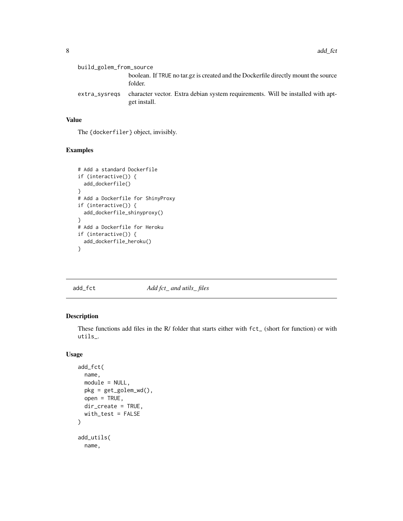<span id="page-7-0"></span>

| build_golem_from_source |                                                                                                 |
|-------------------------|-------------------------------------------------------------------------------------------------|
|                         | boolean. If TRUE no tar.gz is created and the Dockerfile directly mount the source<br>folder.   |
| extra_sysregs           | character vector. Extra debian system requirements. Will be installed with apt-<br>get install. |

## Value

The {dockerfiler} object, invisibly.

## Examples

```
# Add a standard Dockerfile
if (interactive()) {
 add_dockerfile()
}
# Add a Dockerfile for ShinyProxy
if (interactive()) {
 add_dockerfile_shinyproxy()
}
# Add a Dockerfile for Heroku
if (interactive()) {
 add_dockerfile_heroku()
}
```
add\_fct *Add fct\_ and utils\_ files*

## Description

These functions add files in the R/ folder that starts either with fct\_ (short for function) or with utils\_.

```
add_fct(
  name,
 module = NULL,
 pkg = get_golem_wd(),
 open = TRUE,
  dir_create = TRUE,
 with_test = FALSE
)
add_utils(
  name,
```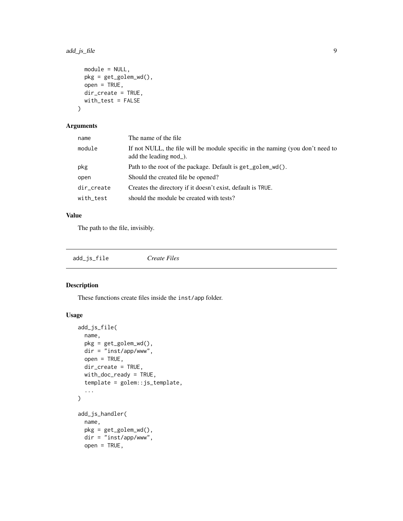## <span id="page-8-0"></span>add\_js\_file 9

```
module = NULL,
 pkg = get_golem_wd(),
 open = TRUE,
 dir_create = TRUE,
 with_test = FALSE
)
```
## Arguments

| name       | The name of the file.                                                                                     |
|------------|-----------------------------------------------------------------------------------------------------------|
| module     | If not NULL, the file will be module specific in the naming (you don't need to<br>add the leading $mod$ . |
| pkg        | Path to the root of the package. Default is get_golem_wd().                                               |
| open       | Should the created file be opened?                                                                        |
| dir_create | Creates the directory if it doesn't exist, default is TRUE.                                               |
| with_test  | should the module be created with tests?                                                                  |

## Value

The path to the file, invisibly.

| add_js_file | Create Files |
|-------------|--------------|
|-------------|--------------|

## <span id="page-8-1"></span>Description

These functions create files inside the inst/app folder.

```
add_js_file(
 name,
 pkg = get_golem_wd(),
 dir = "inst/app/www",
 open = TRUE,dir_create = TRUE,
 with_doc_ready = TRUE,
  template = golem::js_template,
  ...
\mathcal{L}add_js_handler(
 name,
 pkg = get_golem_wd(),
 dir = "inst/app/www",
  open = TRUE,
```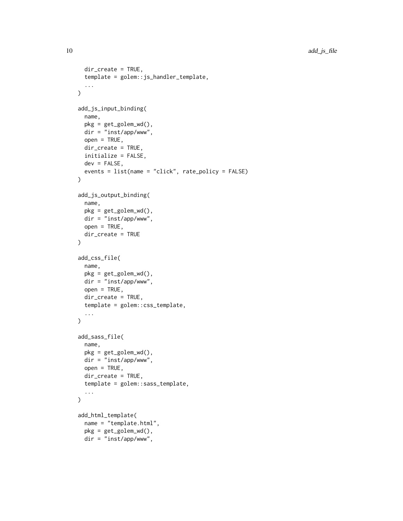```
dir_create = TRUE,
  template = golem::js_handler_template,
  ...
\mathcal{L}add_js_input_binding(
  name,
  pkg = get_golem_wd(),
 dir = "inst/app/www",
  open = TRUE,dir_create = TRUE,
  initialize = FALSE,
 dev = FALSE,events = list(name = "click", rate_policy = FALSE)
\mathcal{L}add_js_output_binding(
  name,
 pkg = get_golem_wd(),
 dir = "inst/app/www",
 open = TRUE,dir_create = TRUE
\mathcal{L}add_css_file(
 name,
 pkg = get_golem_wd(),
 dir = "inst/app/www",
  open = TRUE,dir_create = TRUE,
  template = golem::css_template,
  ...
\mathcal{L}add_sass_file(
  name,
 pkg = get\_golem_wd(),
 dir = "inst/app/www",
  open = TRUE,dir_create = TRUE,
  template = golem::sass_template,
  ...
\mathcal{L}add_html_template(
  name = "template.html",
 pkg = get_golem_wd(),
  dir = "inst/app/www",
```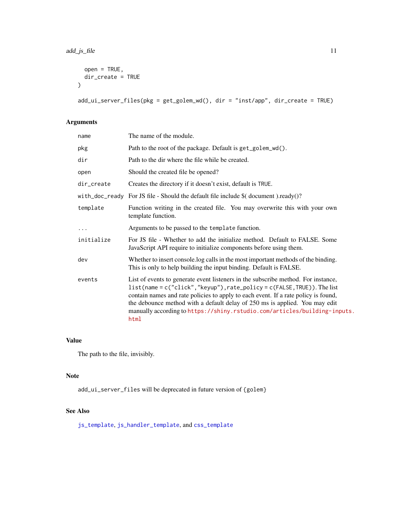```
open = TRUE,dir_create = TRUE
)
```
add\_ui\_server\_files(pkg = get\_golem\_wd(), dir = "inst/app", dir\_create = TRUE)

## Arguments

| name       | The name of the module.                                                                                                                                                                                                                                                                                                                                                                                                       |
|------------|-------------------------------------------------------------------------------------------------------------------------------------------------------------------------------------------------------------------------------------------------------------------------------------------------------------------------------------------------------------------------------------------------------------------------------|
| pkg        | Path to the root of the package. Default is get_golem_wd().                                                                                                                                                                                                                                                                                                                                                                   |
| dir        | Path to the dir where the file while be created.                                                                                                                                                                                                                                                                                                                                                                              |
| open       | Should the created file be opened?                                                                                                                                                                                                                                                                                                                                                                                            |
| dir_create | Creates the directory if it doesn't exist, default is TRUE.                                                                                                                                                                                                                                                                                                                                                                   |
|            | with_doc_ready For JS file - Should the default file include $%$ (document).ready()?                                                                                                                                                                                                                                                                                                                                          |
| template   | Function writing in the created file. You may overwrite this with your own<br>template function.                                                                                                                                                                                                                                                                                                                              |
| $\cdots$   | Arguments to be passed to the template function.                                                                                                                                                                                                                                                                                                                                                                              |
| initialize | For JS file - Whether to add the initialize method. Default to FALSE. Some<br>JavaScript API require to initialize components before using them.                                                                                                                                                                                                                                                                              |
| dev        | Whether to insert console. log calls in the most important methods of the binding.<br>This is only to help building the input binding. Default is FALSE.                                                                                                                                                                                                                                                                      |
| events     | List of events to generate event listeners in the subscribe method. For instance,<br>$list(name = c("click", "keyup")$ , $rate\_policy = c(FALE, TRUE)$ ). The list<br>contain names and rate policies to apply to each event. If a rate policy is found,<br>the debounce method with a default delay of 250 ms is applied. You may edit<br>manually according to https://shiny.rstudio.com/articles/building-inputs.<br>html |

## Value

The path to the file, invisibly.

#### Note

add\_ui\_server\_files will be deprecated in future version of {golem}

#### See Also

[js\\_template](#page-24-1), [js\\_handler\\_template](#page-24-2), and [css\\_template](#page-24-1)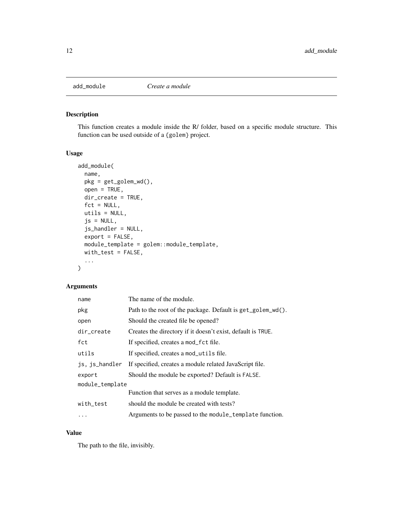<span id="page-11-1"></span><span id="page-11-0"></span>

This function creates a module inside the R/ folder, based on a specific module structure. This function can be used outside of a {golem} project.

## Usage

```
add_module(
  name,
 pkg = get_golem_wd(),
 open = TRUE,dir_create = TRUE,
  fct = NULL,utils = NULL,
  js = NULL,js_handler = NULL,
  export = FALSE,
 module_template = golem::module_template,
 with_test = FALSE,
  ...
)
```
## Arguments

| name            | The name of the module.                                     |
|-----------------|-------------------------------------------------------------|
| pkg             | Path to the root of the package. Default is get_golem_wd(). |
| open            | Should the created file be opened?                          |
| dir_create      | Creates the directory if it doesn't exist, default is TRUE. |
| fct             | If specified, creates a mod_fct file.                       |
| utils           | If specified, creates a mod_utils file.                     |
| js, js_handler  | If specified, creates a module related JavaScript file.     |
| export          | Should the module be exported? Default is FALSE.            |
| module_template |                                                             |
|                 | Function that serves as a module template.                  |
| with_test       | should the module be created with tests?                    |
| $\ddots$        | Arguments to be passed to the module_template function.     |

## Value

The path to the file, invisibly.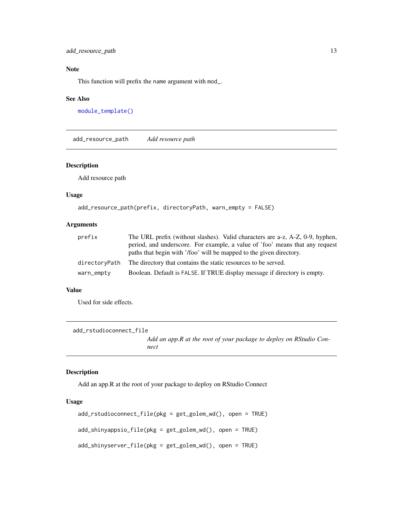<span id="page-12-0"></span>add\_resource\_path 13

## Note

This function will prefix the name argument with mod\_.

#### See Also

[module\\_template\(\)](#page-25-1)

add\_resource\_path *Add resource path*

#### Description

Add resource path

## Usage

```
add_resource_path(prefix, directoryPath, warn_empty = FALSE)
```
#### Arguments

| prefix        | The URL prefix (without slashes). Valid characters are a-z, A-Z, 0-9, hyphen, |
|---------------|-------------------------------------------------------------------------------|
|               | period, and underscore. For example, a value of 'foo' means that any request  |
|               | paths that begin with '/foo' will be mapped to the given directory.           |
| directoryPath | The directory that contains the static resources to be served.                |
| warn_empty    | Boolean. Default is FALSE. If TRUE display message if directory is empty.     |

#### Value

Used for side effects.

add\_rstudioconnect\_file

*Add an app.R at the root of your package to deploy on RStudio Connect*

#### Description

Add an app.R at the root of your package to deploy on RStudio Connect

```
add_rstudioconnect_file(pkg = get_golem_wd(), open = TRUE)
add_shinyappsio_file(pkg = get_golem_wd(), open = TRUE)
add_shinyserver_file(pkg = get_golem_wd(), open = TRUE)
```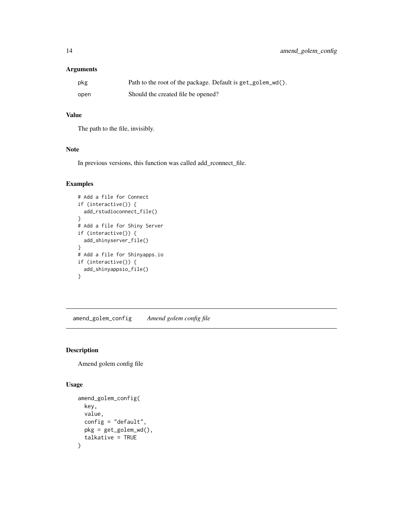## <span id="page-13-0"></span>Arguments

| pkg  | Path to the root of the package. Default is get_golem_wd(). |
|------|-------------------------------------------------------------|
| open | Should the created file be opened?                          |

## Value

The path to the file, invisibly.

## Note

In previous versions, this function was called add\_rconnect\_file.

## Examples

```
# Add a file for Connect
if (interactive()) {
 add_rstudioconnect_file()
}
# Add a file for Shiny Server
if (interactive()) {
 add_shinyserver_file()
}
# Add a file for Shinyapps.io
if (interactive()) {
 add_shinyappsio_file()
}
```
amend\_golem\_config *Amend golem config file*

## Description

Amend golem config file

```
amend_golem_config(
  key,
  value,
  config = "default",
  pkg = get_golem_wd(),
  talkative = TRUE
\mathcal{E}
```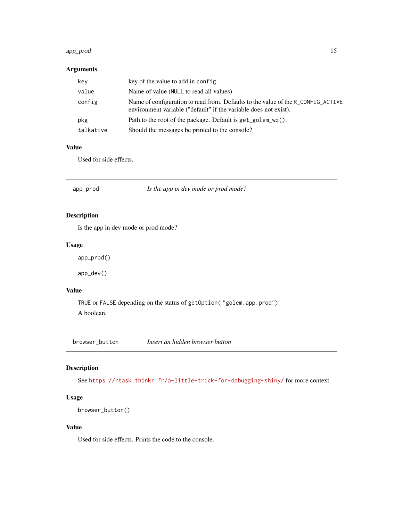#### <span id="page-14-0"></span>app\_prod 15

## Arguments

| key       | key of the value to add in config.                                                                                                                   |
|-----------|------------------------------------------------------------------------------------------------------------------------------------------------------|
| value     | Name of value (NULL to read all values)                                                                                                              |
| config    | Name of configuration to read from. Defaults to the value of the R_CONFIG_ACTIVE<br>environment variable ("default" if the variable does not exist). |
| pkg       | Path to the root of the package. Default is get_golem_wd().                                                                                          |
| talkative | Should the messages be printed to the console?                                                                                                       |

#### Value

Used for side effects.

app\_prod *Is the app in dev mode or prod mode?*

## Description

Is the app in dev mode or prod mode?

#### Usage

app\_prod()

app\_dev()

#### Value

TRUE or FALSE depending on the status of getOption( "golem.app.prod") A boolean.

browser\_button *Insert an hidden browser button*

## Description

See <https://rtask.thinkr.fr/a-little-trick-for-debugging-shiny/> for more context.

## Usage

```
browser_button()
```
## Value

Used for side effects. Prints the code to the console.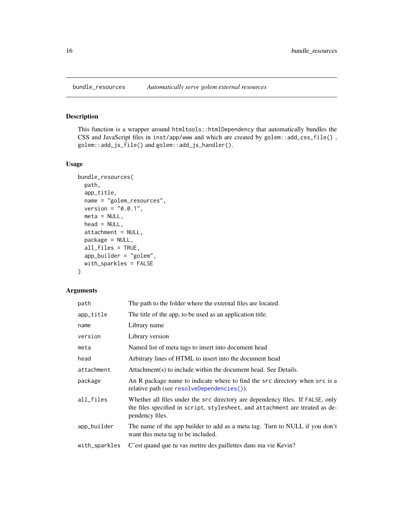<span id="page-15-0"></span>This function is a wrapper around htmltools::htmlDependency that automatically bundles the CSS and JavaScript files in inst/app/www and which are created by golem::add\_css\_file() , golem::add\_js\_file() and golem::add\_js\_handler().

#### Usage

```
bundle_resources(
 path,
 app_title,
 name = "golem_resources",
 version = "0.0.1",meta = NULL,head = NULL,
 attachment = NULL,
 package = NULL,
  all_files = TRUE,
  app_builder = "golem",
 with_sparkles = FALSE
)
```
#### Arguments

| path          | The path to the folder where the external files are located.                                                                                                                      |
|---------------|-----------------------------------------------------------------------------------------------------------------------------------------------------------------------------------|
| app_title     | The title of the app, to be used as an application title.                                                                                                                         |
| name          | Library name                                                                                                                                                                      |
| version       | Library version                                                                                                                                                                   |
| meta          | Named list of meta tags to insert into document head                                                                                                                              |
| head          | Arbitrary lines of HTML to insert into the document head                                                                                                                          |
| attachment    | Attachment(s) to include within the document head. See Details.                                                                                                                   |
| package       | An R package name to indicate where to find the src directory when src is a<br>relative path (see resolveDependencies()).                                                         |
| all_files     | Whether all files under the src directory are dependency files. If FALSE, only<br>the files specified in script, stylesheet, and attachment are treated as de-<br>pendency files. |
| app_builder   | The name of the app builder to add as a meta tag. Turn to NULL if you don't<br>want this meta tag to be included.                                                                 |
| with_sparkles | C'est quand que tu vas mettre des paillettes dans ma vie Kevin?                                                                                                                   |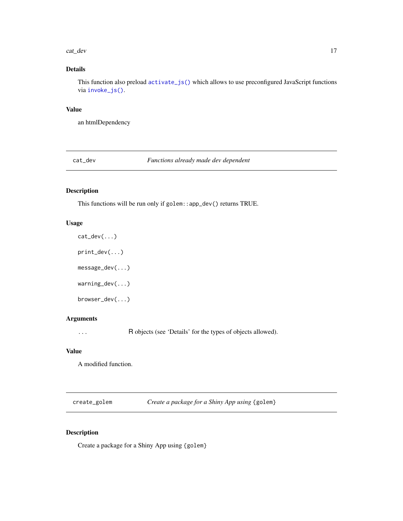#### <span id="page-16-0"></span>cat\_dev 17

## Details

This function also preload [activate\\_js\(\)](#page-2-1) which allows to use preconfigured JavaScript functions via [invoke\\_js\(\)](#page-2-2).

#### Value

an htmlDependency

cat\_dev *Functions already made dev dependent*

## Description

This functions will be run only if golem::app\_dev() returns TRUE.

#### Usage

print\_dev(...) message\_dev(...) warning\_dev(...) browser\_dev(...)

cat\_dev(...)

## Arguments

... R objects (see 'Details' for the types of objects allowed).

## Value

A modified function.

create\_golem *Create a package for a Shiny App using* {golem}

## Description

Create a package for a Shiny App using {golem}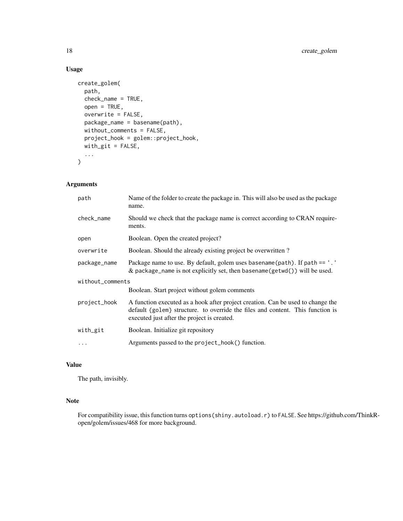## Usage

```
create_golem(
  path,
  check_name = TRUE,
  open = TRUE,overwrite = FALSE,
  package_name = basename(path),
  without_comments = FALSE,
  project_hook = golem::project_hook,
  with\_git = FALSE,...
\mathcal{L}
```
## Arguments

| path             | Name of the folder to create the package in. This will also be used as the package<br>name.                                                                                                                      |  |
|------------------|------------------------------------------------------------------------------------------------------------------------------------------------------------------------------------------------------------------|--|
| check_name       | Should we check that the package name is correct according to CRAN require-<br>ments.                                                                                                                            |  |
| open             | Boolean. Open the created project?                                                                                                                                                                               |  |
| overwrite        | Boolean. Should the already existing project be overwritten?                                                                                                                                                     |  |
| package_name     | Package name to use. By default, golem uses basename (path). If path == '.'<br>& package_name is not explicitly set, then basename( $getwd()$ ) will be used.                                                    |  |
| without_comments |                                                                                                                                                                                                                  |  |
|                  | Boolean. Start project without golem comments                                                                                                                                                                    |  |
| project_hook     | A function executed as a hook after project creation. Can be used to change the<br>default {golem} structure, to override the files and content. This function is<br>executed just after the project is created. |  |
| with_git         | Boolean. Initialize git repository                                                                                                                                                                               |  |
| .                | Arguments passed to the project_hook() function.                                                                                                                                                                 |  |

## Value

The path, invisibly.

## Note

For compatibility issue, this function turns options(shiny.autoload.r) to FALSE. See https://github.com/ThinkRopen/golem/issues/468 for more background.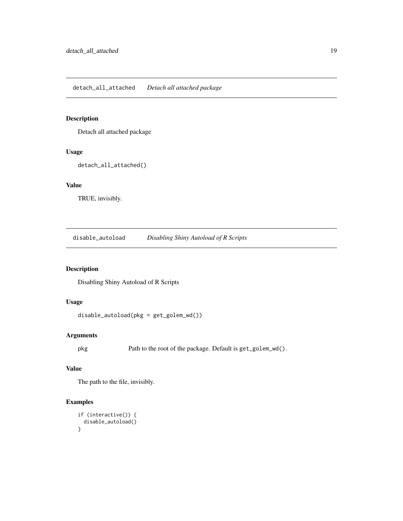<span id="page-18-0"></span>Detach all attached package

## Usage

detach\_all\_attached()

## Value

TRUE, invisibly.

disable\_autoload *Disabling Shiny Autoload of R Scripts*

## Description

Disabling Shiny Autoload of R Scripts

#### Usage

```
disable_autoload(pkg = get_golem_wd())
```
## Arguments

pkg Path to the root of the package. Default is get\_golem\_wd().

#### Value

The path to the file, invisibly.

## Examples

```
if (interactive()) {
 disable_autoload()
}
```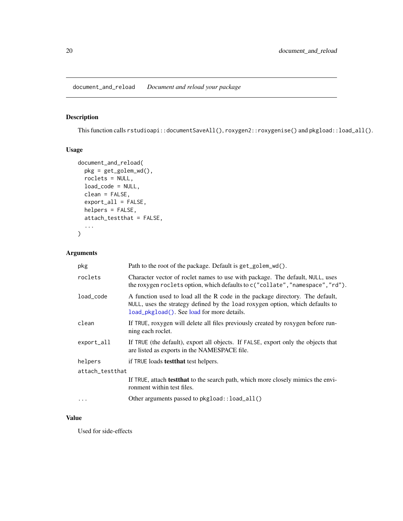<span id="page-19-0"></span>document\_and\_reload *Document and reload your package*

## Description

This function calls rstudioapi::documentSaveAll(), roxygen2::roxygenise() and pkgload::load\_all().

## Usage

```
document_and_reload(
 pkg = get_golem_wd(),
 roclets = NULL,
 load_code = NULL,
  clean = FALSE,
  export_all = FALSE,
 helpers = FALSE,
  attach_testthat = FALSE,
  ...
)
```
## Arguments

| pkg             | Path to the root of the package. Default is get_golem_wd().                                                                                                                                                  |  |
|-----------------|--------------------------------------------------------------------------------------------------------------------------------------------------------------------------------------------------------------|--|
| roclets         | Character vector of roclet names to use with package. The default, NULL, uses<br>the roxygen roclets option, which defaults to c("collate", "namespace", "rd").                                              |  |
| load code       | A function used to load all the R code in the package directory. The default,<br>NULL, uses the strategy defined by the load roxygen option, which defaults to<br>load_pkgload(). See load for more details. |  |
| clean           | If TRUE, roxygen will delete all files previously created by roxygen before run-<br>ning each roclet.                                                                                                        |  |
| export_all      | If TRUE (the default), export all objects. If FALSE, export only the objects that<br>are listed as exports in the NAMESPACE file.                                                                            |  |
| helpers         | if TRUE loads test that test helpers.                                                                                                                                                                        |  |
| attach_testthat |                                                                                                                                                                                                              |  |
|                 | If TRUE, attach <b>test that</b> to the search path, which more closely mimics the envi-<br>ronment within test files.                                                                                       |  |
| $\cdots$        | Other arguments passed to pkgload:: load_all()                                                                                                                                                               |  |

## Value

Used for side-effects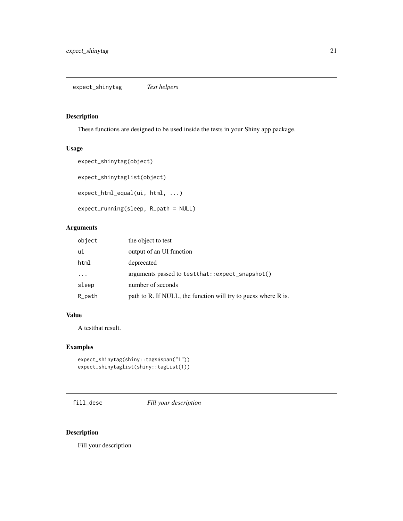<span id="page-20-0"></span>These functions are designed to be used inside the tests in your Shiny app package.

## Usage

```
expect_shinytag(object)
expect_shinytaglist(object)
expect_html_equal(ui, html, ...)
expect_running(sleep, R_path = NULL)
```
## Arguments

| object   | the object to test                                             |
|----------|----------------------------------------------------------------|
| ui       | output of an UI function                                       |
| html     | deprecated                                                     |
| $\cdots$ | arguments passed to test that::expect_snapshot()               |
| sleep    | number of seconds                                              |
| R_path   | path to R. If NULL, the function will try to guess where R is. |

## Value

A testthat result.

## Examples

```
expect_shinytag(shiny::tags$span("1"))
expect_shinytaglist(shiny::tagList(1))
```
fill\_desc *Fill your description*

## Description

Fill your description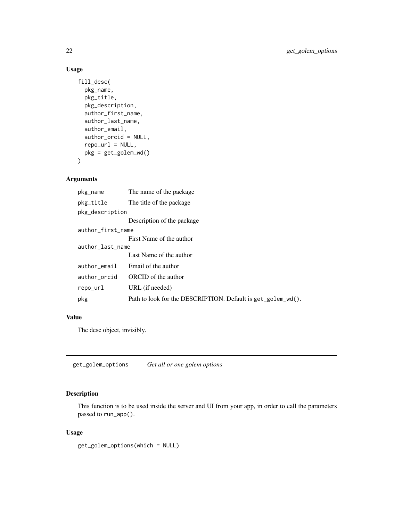## Usage

```
fill_desc(
  pkg_name,
 pkg_title,
 pkg_description,
  author_first_name,
  author_last_name,
  author_email,
  author_orcid = NULL,
  repo_url = NULL,
 pkg = get_golem_wd()
)
```
## Arguments

| The name of the package                                      |  |  |
|--------------------------------------------------------------|--|--|
| The title of the package.                                    |  |  |
| pkg_description                                              |  |  |
| Description of the package                                   |  |  |
| author_first_name                                            |  |  |
| First Name of the author                                     |  |  |
| author_last_name                                             |  |  |
| Last Name of the author                                      |  |  |
| Email of the author                                          |  |  |
| ORCID of the author                                          |  |  |
| URL (if needed)                                              |  |  |
| Path to look for the DESCRIPTION. Default is get_golem_wd(). |  |  |
|                                                              |  |  |

## Value

The desc object, invisibly.

get\_golem\_options *Get all or one golem options*

## Description

This function is to be used inside the server and UI from your app, in order to call the parameters passed to run\_app().

## Usage

get\_golem\_options(which = NULL)

<span id="page-21-0"></span>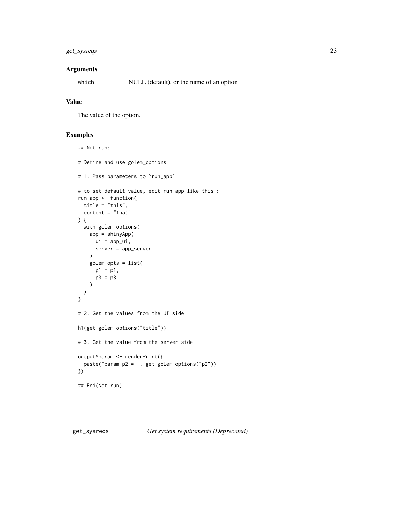## <span id="page-22-0"></span>get\_sysreqs 23

## Arguments

which NULL (default), or the name of an option

## Value

The value of the option.

#### Examples

```
## Not run:
# Define and use golem_options
# 1. Pass parameters to `run_app`
# to set default value, edit run_app like this :
run_app <- function(
  title = "this",
  content = "that"
) {
  with_golem_options(
   app = shinyApp(
     ui = app_i,server = app_server
   ),
   golem_opts = list(
     p1 = p1,
      p3 = p3
   )
 )
}
# 2. Get the values from the UI side
h1(get_golem_options("title"))
# 3. Get the value from the server-side
output$param <- renderPrint({
  paste("param p2 = ", get_golem_options("p2"))
})
## End(Not run)
```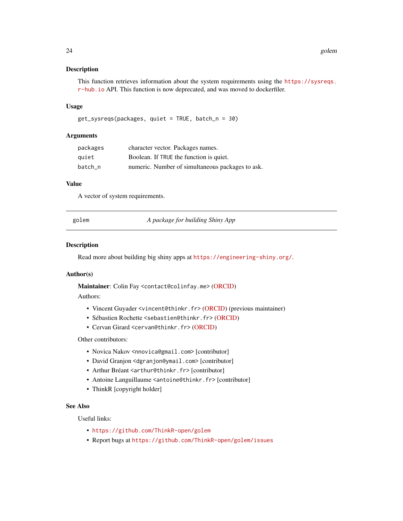<span id="page-23-0"></span>This function retrieves information about the system requirements using the [https://sysreqs.](https://sysreqs.r-hub.io) [r-hub.io](https://sysreqs.r-hub.io) API. This function is now deprecated, and was moved to dockerfiler.

#### Usage

```
get_sysreqs(packages, quiet = TRUE, batch_n = 30)
```
#### Arguments

| packages | character vector. Packages names.                |
|----------|--------------------------------------------------|
| quiet    | Boolean. If TRUE the function is quiet.          |
| batch n  | numeric. Number of simultaneous packages to ask. |

## Value

A vector of system requirements.

golem *A package for building Shiny App*

#### Description

Read more about building big shiny apps at <https://engineering-shiny.org/>.

#### Author(s)

Maintainer: Colin Fay <contact@colinfay.me> [\(ORCID\)](https://orcid.org/0000-0001-7343-1846)

## Authors:

- Vincent Guyader <vincent@thinkr.fr> [\(ORCID\)](https://orcid.org/0000-0003-0671-9270) (previous maintainer)
- Sébastien Rochette <sebastien@thinkr.fr> [\(ORCID\)](https://orcid.org/0000-0002-1565-9313)
- Cervan Girard <cervan@thinkr.fr> [\(ORCID\)](https://orcid.org/0000-0002-4816-4624)

#### Other contributors:

- Novica Nakov <nnovica@gmail.com> [contributor]
- David Granjon <dgranjon@ymail.com> [contributor]
- Arthur Bréant <arthur@thinkr.fr>[contributor]
- Antoine Languillaume <antoine@thinkr.fr>[contributor]
- ThinkR [copyright holder]

#### See Also

Useful links:

- <https://github.com/ThinkR-open/golem>
- Report bugs at <https://github.com/ThinkR-open/golem/issues>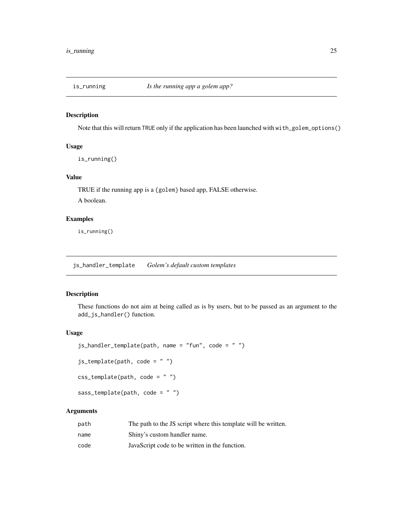<span id="page-24-0"></span>

Note that this will return TRUE only if the application has been launched with with\_golem\_options()

## Usage

is\_running()

## Value

TRUE if the running app is a {golem} based app, FALSE otherwise.

A boolean.

## Examples

is\_running()

<span id="page-24-2"></span>js\_handler\_template *Golem's default custom templates*

## <span id="page-24-1"></span>Description

These functions do not aim at being called as is by users, but to be passed as an argument to the add\_js\_handler() function.

#### Usage

```
js_handler_template(path, name = "fun", code = " ")
js_ttemplate(path, code = " ")
\text{css\_template}(\text{path}, \text{ code = " " })sass_template(path, code = "")
```
#### Arguments

| path | The path to the JS script where this template will be written. |
|------|----------------------------------------------------------------|
| name | Shiny's custom handler name.                                   |
| code | JavaScript code to be written in the function.                 |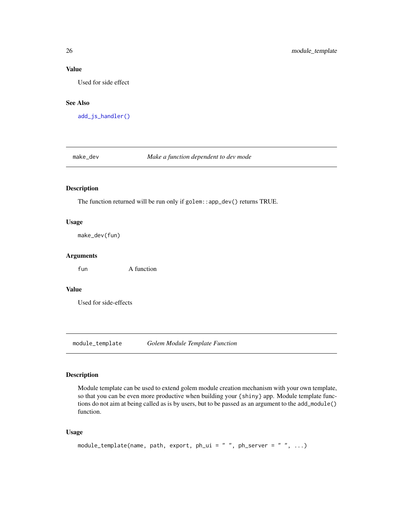#### Value

Used for side effect

#### See Also

[add\\_js\\_handler\(\)](#page-8-1)

make\_dev *Make a function dependent to dev mode*

## Description

The function returned will be run only if golem::app\_dev() returns TRUE.

#### Usage

make\_dev(fun)

## Arguments

fun A function

## Value

Used for side-effects

<span id="page-25-1"></span>module\_template *Golem Module Template Function*

#### Description

Module template can be used to extend golem module creation mechanism with your own template, so that you can be even more productive when building your {shiny} app. Module template functions do not aim at being called as is by users, but to be passed as an argument to the add\_module() function.

```
module_template(name, path, export, ph_ui = " ", ph_server = " ", ...)
```
<span id="page-25-0"></span>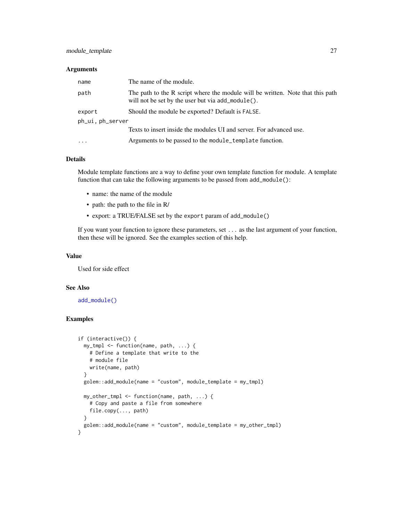#### <span id="page-26-0"></span>**Arguments**

| name             | The name of the module.                                                                                                             |  |
|------------------|-------------------------------------------------------------------------------------------------------------------------------------|--|
| path             | The path to the R script where the module will be written. Note that this path<br>will not be set by the user but via add_module(). |  |
| export           | Should the module be exported? Default is FALSE.                                                                                    |  |
| ph_ui, ph_server |                                                                                                                                     |  |
|                  | Texts to insert inside the modules UI and server. For advanced use.                                                                 |  |
| $\cdots$         | Arguments to be passed to the module_template function.                                                                             |  |

## Details

Module template functions are a way to define your own template function for module. A template function that can take the following arguments to be passed from add\_module():

- name: the name of the module
- path: the path to the file in R/
- export: a TRUE/FALSE set by the export param of add\_module()

If you want your function to ignore these parameters, set ... as the last argument of your function, then these will be ignored. See the examples section of this help.

#### Value

Used for side effect

#### See Also

[add\\_module\(\)](#page-11-1)

#### Examples

```
if (interactive()) {
 my_tmpl <- function(name, path, ...) {
   # Define a template that write to the
   # module file
   write(name, path)
 }
 golem::add_module(name = "custom", module_template = my_tmpl)
 my_other_tmpl <- function(name, path, ...) {
   # Copy and paste a file from somewhere
   file.copy(..., path)
 }
 golem::add_module(name = "custom", module_template = my_other_tmpl)
}
```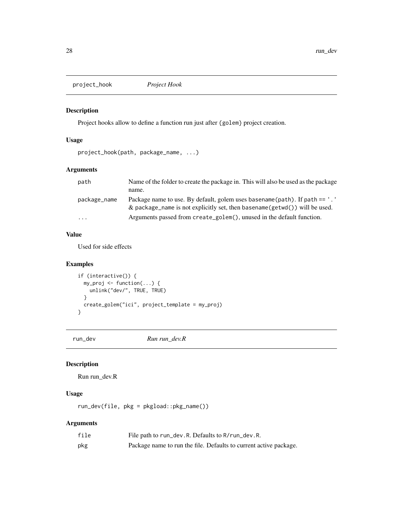<span id="page-27-0"></span>project\_hook *Project Hook*

### Description

Project hooks allow to define a function run just after {golem} project creation.

#### Usage

```
project_hook(path, package_name, ...)
```
## Arguments

| path         | Name of the folder to create the package in. This will also be used as the package<br>name.                                                                   |
|--------------|---------------------------------------------------------------------------------------------------------------------------------------------------------------|
| package_name | Package name to use. By default, golem uses basename ( $path$ ). If $path ==$ .<br>& package_name is not explicitly set, then basename(getwd()) will be used. |
| $\cdots$     | Arguments passed from create_golem(), unused in the default function.                                                                                         |

#### Value

Used for side effects

## Examples

```
if (interactive()) {
  my_proj <- function(...) {
   unlink("dev/", TRUE, TRUE)
  }
  create_golem("ici", project_template = my_proj)
}
```
run\_dev *Run run\_dev.R*

#### Description

Run run\_dev.R

## Usage

run\_dev(file, pkg = pkgload::pkg\_name())

## Arguments

| file | File path to run_dev.R. Defaults to R/run_dev.R.                  |
|------|-------------------------------------------------------------------|
| pkg  | Package name to run the file. Defaults to current active package. |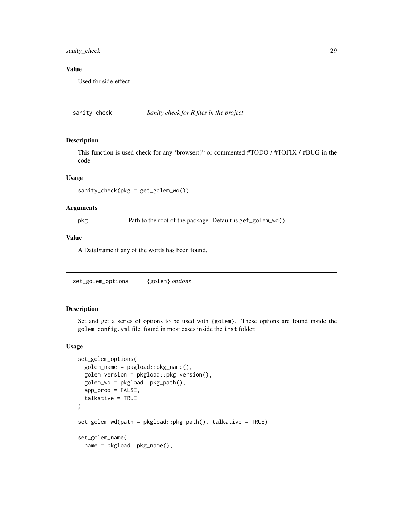## <span id="page-28-0"></span>sanity\_check 29

#### Value

Used for side-effect

sanity\_check *Sanity check for R files in the project*

#### Description

This function is used check for any 'browser()" or commented #TODO / #TOFIX / #BUG in the code

#### Usage

```
sanity_check(pkg = get_golem_wd())
```
#### Arguments

pkg Path to the root of the package. Default is get\_golem\_wd().

#### Value

A DataFrame if any of the words has been found.

set\_golem\_options {golem} *options*

#### Description

Set and get a series of options to be used with {golem}. These options are found inside the golem-config.yml file, found in most cases inside the inst folder.

```
set_golem_options(
 golem_name = pkgload::pkg_name(),
  golem_version = pkgload::pkg_version(),
 golem_wd = pkgload::pkg_path(),
  app\_prod = FALSE,talkative = TRUE
)
set_golem_wd(path = pkgload::pkg_path(), talkative = TRUE)
set_golem_name(
 name = pkgload::pkg_name(),
```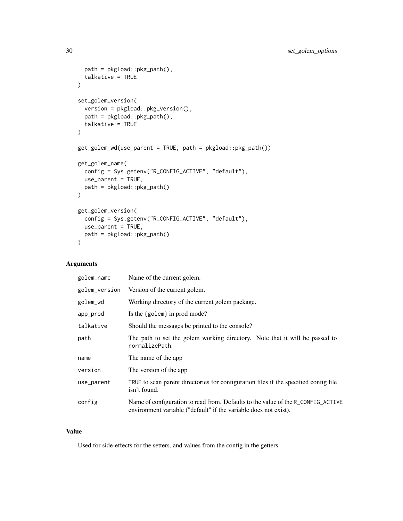```
path = pkgload::pkg_path(),
  talkative = TRUE
\lambdaset_golem_version(
  version = pkgload::pkg_version(),
 path = pkgload::pkg_path(),
 talkative = TRUE
\lambdaget_golem_wd(use_parent = TRUE, path = pkgload::pkg_path())
get_golem_name(
 config = Sys.getenv("R_CONFIG_ACTIVE", "default"),
 use_parent = TRUE,
 path = pkgload::pkg_path()
\mathcal{L}get_golem_version(
 config = Sys.getenv("R_CONFIG_ACTIVE", "default"),
 use_parent = TRUE,
 path = pkgload::pkg_path()
\mathcal{E}
```
## Arguments

| golem_name    | Name of the current golem.                                                                                                                           |
|---------------|------------------------------------------------------------------------------------------------------------------------------------------------------|
| golem_version | Version of the current golem.                                                                                                                        |
| golem_wd      | Working directory of the current golem package.                                                                                                      |
| app_prod      | Is the ${goalem}$ in prod mode?                                                                                                                      |
| talkative     | Should the messages be printed to the console?                                                                                                       |
| path          | The path to set the golem working directory. Note that it will be passed to<br>normalizePath.                                                        |
| name          | The name of the app                                                                                                                                  |
| version       | The version of the app.                                                                                                                              |
| use_parent    | TRUE to scan parent directories for configuration files if the specified config file<br>isn't found.                                                 |
| config        | Name of configuration to read from. Defaults to the value of the R_CONFIG_ACTIVE<br>environment variable ("default" if the variable does not exist). |

## Value

Used for side-effects for the setters, and values from the config in the getters.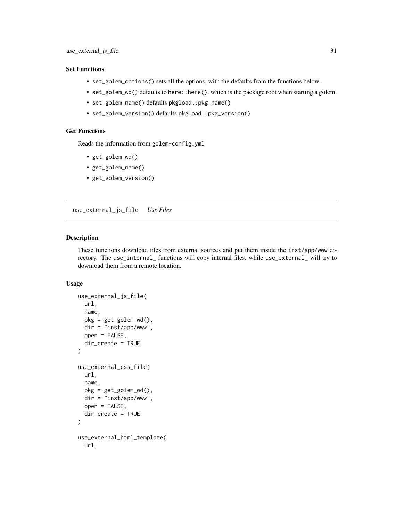#### <span id="page-30-0"></span>Set Functions

- set\_golem\_options() sets all the options, with the defaults from the functions below.
- set\_golem\_wd() defaults to here::here(), which is the package root when starting a golem.
- set\_golem\_name() defaults pkgload::pkg\_name()
- set\_golem\_version() defaults pkgload::pkg\_version()

## Get Functions

Reads the information from golem-config.yml

- get\_golem\_wd()
- get\_golem\_name()
- get\_golem\_version()

use\_external\_js\_file *Use Files*

#### Description

These functions download files from external sources and put them inside the inst/app/www directory. The use\_internal\_ functions will copy internal files, while use\_external\_ will try to download them from a remote location.

```
use_external_js_file(
  url,
  name,
  pkg = get_golem_wd(),
  dir = "inst/app/www",
  open = FALSE,
  dir_create = TRUE
)
use_external_css_file(
  url,
  name,
  pkg = get_golem_wd(),
  dir = "inst/app/www",
  open = FALSE,
  dir_create = TRUE
)
use_external_html_template(
  url,
```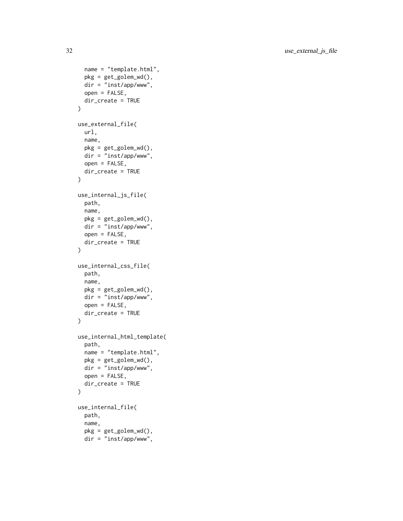```
name = "template.html",
  pkg = get_golem_wd(),
  dir = "inst/app/www",
  open = FALSE,
  dir_create = TRUE
\mathcal{E}use_external_file(
  url,
 name,
 pkg = get_golem_wd(),
 dir = "inst/app/www",
 open = FALSE,
 dir_create = TRUE
\mathcal{L}use_internal_js_file(
 path,
 name,
 pkg = get\_golem_wd(),
 dir = "inst/app/www",
  open = FALSE,dir_create = TRUE
)
use_internal_css_file(
  path,
 name,
 pkg = get_golem_wd(),
 dir = "inst/app/www",
  open = FALSE,
  dir_create = TRUE
)
use_internal_html_template(
  path,
  name = "template.html",
 pkg = get_golem_wd(),
  dir = "inst/app/www",
  open = FALSE,
  dir_create = TRUE
)
use_internal_file(
 path,
  name,
  pkg = get_golem_wd(),
  dir = "inst/app/www",
```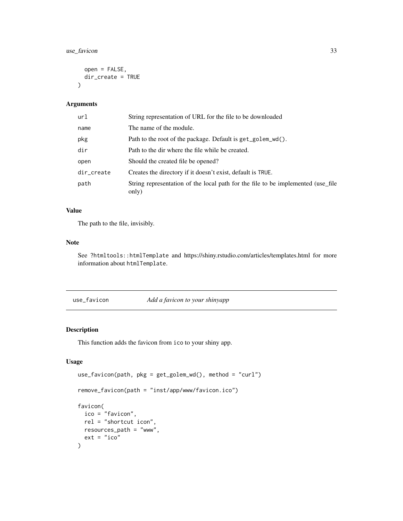## <span id="page-32-0"></span>use\_favicon 33

```
open = FALSE,
 dir_create = TRUE
\lambda
```
#### Arguments

| url        | String representation of URL for the file to be downloaded                                |
|------------|-------------------------------------------------------------------------------------------|
| name       | The name of the module.                                                                   |
| pkg        | Path to the root of the package. Default is get_golem_wd().                               |
| dir        | Path to the dir where the file while be created.                                          |
| open       | Should the created file be opened?                                                        |
| dir_create | Creates the directory if it doesn't exist, default is TRUE.                               |
| path       | String representation of the local path for the file to be implemented (use file<br>only) |

## Value

The path to the file, invisibly.

## Note

See ?htmltools::htmlTemplate and https://shiny.rstudio.com/articles/templates.html for more information about htmlTemplate.

use\_favicon *Add a favicon to your shinyapp*

#### Description

This function adds the favicon from ico to your shiny app.

```
use_favicon(path, pkg = get_golem_wd(), method = "curl")
remove_favicon(path = "inst/app/www/favicon.ico")
favicon(
  ico = "favicon",
 rel = "shortcut icon",
 resources_path = "www",
  ext = "ico"\mathcal{E}
```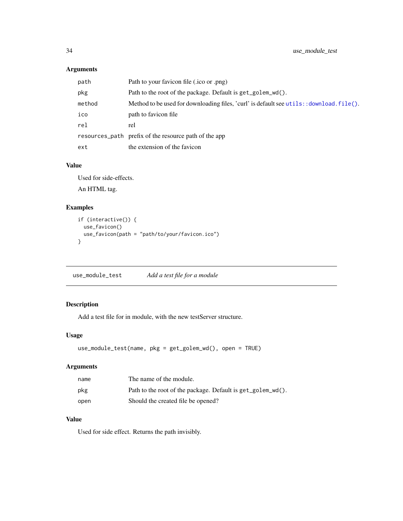## <span id="page-33-0"></span>Arguments

| path   | Path to your favicon file (.ico or .png)                                                  |
|--------|-------------------------------------------------------------------------------------------|
| pkg    | Path to the root of the package. Default is get_golem_wd().                               |
| method | Method to be used for downloading files, 'curl' is default see utils: : download. file(). |
| ico    | path to favicon file                                                                      |
| re1    | rel                                                                                       |
|        | resources_path prefix of the resource path of the app                                     |
| ext    | the extension of the favicon                                                              |

#### Value

Used for side-effects.

An HTML tag.

## Examples

```
if (interactive()) {
  use_favicon()
  use_favicon(path = "path/to/your/favicon.ico")
}
```
use\_module\_test *Add a test file for a module*

## Description

Add a test file for in module, with the new testServer structure.

#### Usage

```
use_module_test(name, pkg = get_golem_wd(), open = TRUE)
```
## Arguments

| name | The name of the module.                                     |
|------|-------------------------------------------------------------|
| pkg  | Path to the root of the package. Default is get_golem_wd(). |
| open | Should the created file be opened?                          |

## Value

Used for side effect. Returns the path invisibly.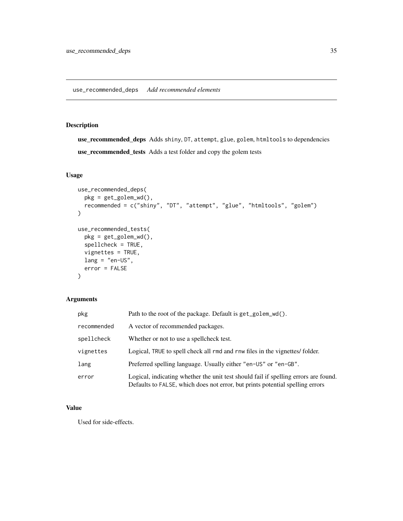<span id="page-34-0"></span>use\_recommended\_deps Adds shiny, DT, attempt, glue, golem, htmltools to dependencies use\_recommended\_tests Adds a test folder and copy the golem tests

## Usage

```
use_recommended_deps(
 pkg = get_golem_wd(),
 recommended = c("shiny", "DT", "attempt", "glue", "htmltools", "golem")
\mathcal{L}use_recommended_tests(
 pkg = get_golem_wd(),
  spellcheck = TRUE,
 vignettes = TRUE,
 lang = "en-US",error = FALSE
\lambda
```
## Arguments

| pkg         | Path to the root of the package. Default is get_golem_wd().                                                                                                          |
|-------------|----------------------------------------------------------------------------------------------------------------------------------------------------------------------|
| recommended | A vector of recommended packages.                                                                                                                                    |
| spellcheck  | Whether or not to use a spellcheck test.                                                                                                                             |
| vignettes   | Logical, TRUE to spell check all rmd and rnw files in the vignettes/folder.                                                                                          |
| lang        | Preferred spelling language. Usually either "en-US" or "en-GB".                                                                                                      |
| error       | Logical, indicating whether the unit test should fail if spelling errors are found.<br>Defaults to FALSE, which does not error, but prints potential spelling errors |

## Value

Used for side-effects.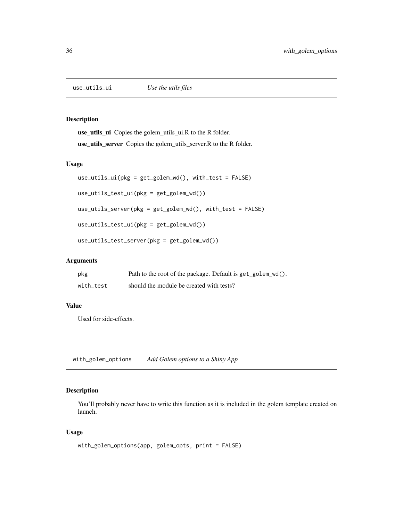<span id="page-35-0"></span>

use\_utils\_ui Copies the golem\_utils\_ui.R to the R folder.

use\_utils\_server Copies the golem\_utils\_server.R to the R folder.

#### Usage

```
use_utils_ui(pkg = get_golem_wd(), with_test = FALSE)
use_utils_test_ui(pkg = get_golem_wd())
use_utils_server(pkg = get_golem_wd(), with_test = FALSE)
use_utils_test_ui(pkg = get_golem_wd())
use_utils_test_server(pkg = get_golem_wd())
```
## Arguments

| pkg       | Path to the root of the package. Default is get_golem_wd(). |
|-----------|-------------------------------------------------------------|
| with test | should the module be created with tests?                    |

#### Value

Used for side-effects.

with\_golem\_options *Add Golem options to a Shiny App*

## Description

You'll probably never have to write this function as it is included in the golem template created on launch.

```
with_golem_options(app, golem_opts, print = FALSE)
```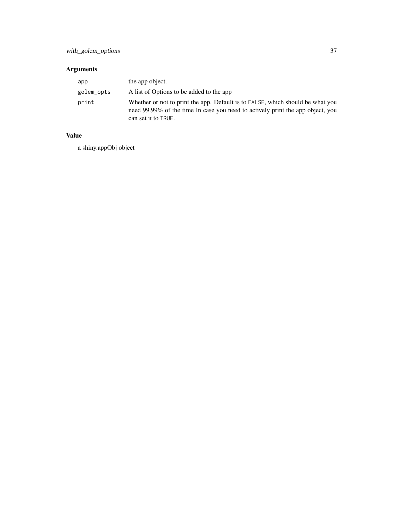## Arguments

| app        | the app object.                                                                                                                                                                         |
|------------|-----------------------------------------------------------------------------------------------------------------------------------------------------------------------------------------|
| golem_opts | A list of Options to be added to the app                                                                                                                                                |
| print      | Whether or not to print the app. Default is to FALSE, which should be what you<br>need 99.99% of the time In case you need to actively print the app object, you<br>can set it to TRUE. |

## Value

a shiny.appObj object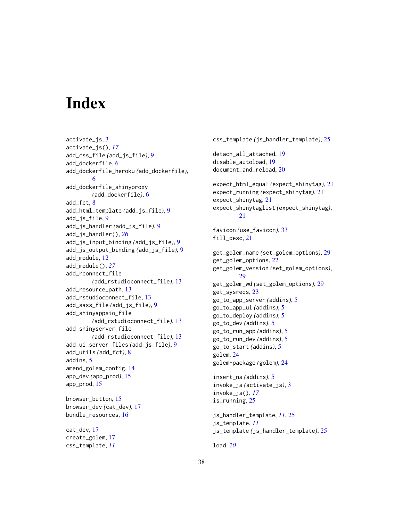# <span id="page-37-0"></span>**Index**

activate\_js, [3](#page-2-0) activate\_js(), *[17](#page-16-0)* add\_css\_file *(*add\_js\_file*)*, [9](#page-8-0) add\_dockerfile, [6](#page-5-0) add\_dockerfile\_heroku *(*add\_dockerfile*)*, [6](#page-5-0) add\_dockerfile\_shinyproxy *(*add\_dockerfile*)*, [6](#page-5-0) add\_fct, [8](#page-7-0) add\_html\_template *(*add\_js\_file*)*, [9](#page-8-0) add\_js\_file, [9](#page-8-0) add\_js\_handler *(*add\_js\_file*)*, [9](#page-8-0) add\_js\_handler(), *[26](#page-25-0)* add\_js\_input\_binding *(*add\_js\_file*)*, [9](#page-8-0) add\_js\_output\_binding *(*add\_js\_file*)*, [9](#page-8-0) add\_module, [12](#page-11-0) add\_module(), *[27](#page-26-0)* add\_rconnect\_file *(*add\_rstudioconnect\_file*)*, [13](#page-12-0) add\_resource\_path, [13](#page-12-0) add\_rstudioconnect\_file, [13](#page-12-0) add\_sass\_file *(*add\_js\_file*)*, [9](#page-8-0) add\_shinyappsio\_file *(*add\_rstudioconnect\_file*)*, [13](#page-12-0) add\_shinyserver\_file *(*add\_rstudioconnect\_file*)*, [13](#page-12-0) add\_ui\_server\_files *(*add\_js\_file*)*, [9](#page-8-0) add\_utils *(*add\_fct*)*, [8](#page-7-0) addins, [5](#page-4-0) amend\_golem\_config, [14](#page-13-0) app\_dev *(*app\_prod*)*, [15](#page-14-0) app\_prod, [15](#page-14-0) browser\_button, [15](#page-14-0) browser\_dev *(*cat\_dev*)*, [17](#page-16-0) bundle\_resources, [16](#page-15-0)

cat\_dev, [17](#page-16-0) create\_golem, [17](#page-16-0) css\_template, *[11](#page-10-0)*

css\_template *(*js\_handler\_template*)*, [25](#page-24-0) detach\_all\_attached, [19](#page-18-0) disable\_autoload, [19](#page-18-0) document\_and\_reload, [20](#page-19-0) expect\_html\_equal *(*expect\_shinytag*)*, [21](#page-20-0) expect\_running *(*expect\_shinytag*)*, [21](#page-20-0) expect\_shinytag, [21](#page-20-0) expect\_shinytaglist *(*expect\_shinytag*)*, [21](#page-20-0) favicon *(*use\_favicon*)*, [33](#page-32-0) fill\_desc, [21](#page-20-0) get\_golem\_name *(*set\_golem\_options*)*, [29](#page-28-0) get\_golem\_options, [22](#page-21-0) get\_golem\_version *(*set\_golem\_options*)*, [29](#page-28-0) get\_golem\_wd *(*set\_golem\_options*)*, [29](#page-28-0) get\_sysreqs, [23](#page-22-0) go\_to\_app\_server *(*addins*)*, [5](#page-4-0) go\_to\_app\_ui *(*addins*)*, [5](#page-4-0) go\_to\_deploy *(*addins*)*, [5](#page-4-0) go\_to\_dev *(*addins*)*, [5](#page-4-0) go\_to\_run\_app *(*addins*)*, [5](#page-4-0) go\_to\_run\_dev *(*addins*)*, [5](#page-4-0) go\_to\_start *(*addins*)*, [5](#page-4-0) golem, [24](#page-23-0) golem-package *(*golem*)*, [24](#page-23-0) insert\_ns *(*addins*)*, [5](#page-4-0) invoke\_js *(*activate\_js*)*, [3](#page-2-0) invoke\_js(), *[17](#page-16-0)* is\_running, [25](#page-24-0) js\_handler\_template, *[11](#page-10-0)*, [25](#page-24-0) js\_template, *[11](#page-10-0)* js\_template *(*js\_handler\_template*)*, [25](#page-24-0)

load, *[20](#page-19-0)*